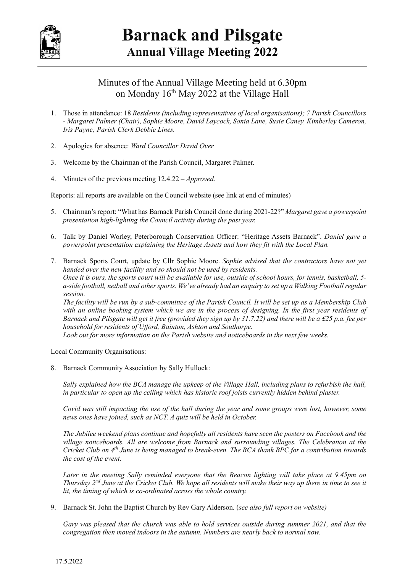

## Minutes of the Annual Village Meeting held at 6.30pm on Monday 16th May 2022 at the Village Hall

- 1. Those in attendance: 18 Residents (including representatives of local organisations); 7 Parish Councillors - Margaret Palmer (Chair), Sophie Moore, David Laycock, Sonia Lane, Susie Caney, Kimberley Cameron, Iris Payne; Parish Clerk Debbie Lines.
- 2. Apologies for absence: Ward Councillor David Over
- 3. Welcome by the Chairman of the Parish Council, Margaret Palmer.
- 4. Minutes of the previous meeting 12.4.22 Approved.

Reports: all reports are available on the Council website (see link at end of minutes)

- 5. Chairman's report: "What has Barnack Parish Council done during 2021-22?" Margaret gave a powerpoint presentation high-lighting the Council activity during the past year.
- 6. Talk by Daniel Worley, Peterborough Conservation Officer: "Heritage Assets Barnack". Daniel gave a powerpoint presentation explaining the Heritage Assets and how they fit with the Local Plan.
- 7. Barnack Sports Court, update by Cllr Sophie Moore. Sophie advised that the contractors have not yet handed over the new facility and so should not be used by residents. Once it is ours, the sports court will be available for use, outside of school hours, for tennis, basketball, 5 a-side football, netball and other sports. We've already had an enquiry to set up a Walking Football regular session.

The facility will be run by a sub-committee of the Parish Council. It will be set up as a Membership Club with an online booking system which we are in the process of designing. In the first year residents of Barnack and Pilsgate will get it free (provided they sign up by 31.7.22) and there will be a £25 p.a. fee per household for residents of Ufford, Bainton, Ashton and Southorpe.

Look out for more information on the Parish website and noticeboards in the next few weeks.

Local Community Organisations:

8. Barnack Community Association by Sally Hullock:

Sally explained how the BCA manage the upkeep of the Village Hall, including plans to refurbish the hall, in particular to open up the ceiling which has historic roof joists currently hidden behind plaster.

Covid was still impacting the use of the hall during the year and some groups were lost, however, some news ones have joined, such as NCT. A quiz will be held in October.

The Jubilee weekend plans continue and hopefully all residents have seen the posters on Facebook and the village noticeboards. All are welcome from Barnack and surrounding villages. The Celebration at the Cricket Club on 4<sup>th</sup> June is being managed to break-even. The BCA thank BPC for a contribution towards the cost of the event.

Later in the meeting Sally reminded everyone that the Beacon lighting will take place at 9.45pm on Thursday  $2^{nd}$  June at the Cricket Club. We hope all residents will make their way up there in time to see it lit, the timing of which is co-ordinated across the whole country.

9. Barnack St. John the Baptist Church by Rev Gary Alderson. (see also full report on website)

Gary was pleased that the church was able to hold services outside during summer 2021, and that the congregation then moved indoors in the autumn. Numbers are nearly back to normal now.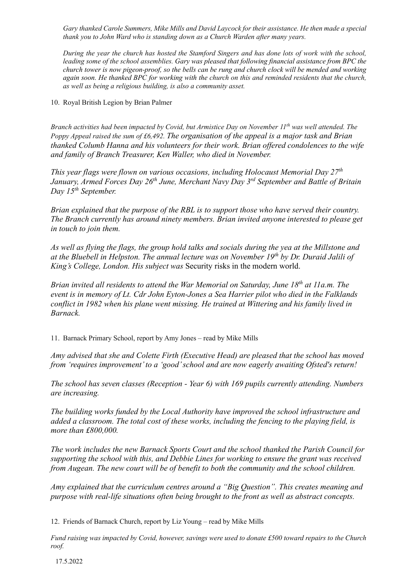Gary thanked Carole Summers, Mike Mills and David Laycock for their assistance. He then made a special thank you to John Ward who is standing down as a Church Warden after many years.

During the year the church has hosted the Stamford Singers and has done lots of work with the school, leading some of the school assemblies. Gary was pleased that following financial assistance from BPC the church tower is now pigeon-proof, so the bells can be rung and church clock will be mended and working again soon. He thanked BPC for working with the church on this and reminded residents that the church, as well as being a religious building, is also a community asset.

10. Royal British Legion by Brian Palmer

Branch activities had been impacted by Covid, but Armistice Day on November  $II<sup>th</sup>$  was well attended. The Poppy Appeal raised the sum of £6,492. The organisation of the appeal is a major task and Brian thanked Columb Hanna and his volunteers for their work. Brian offered condolences to the wife and family of Branch Treasurer, Ken Waller, who died in November.

This year flags were flown on various occasions, including Holocaust Memorial Day  $27<sup>th</sup>$ January, Armed Forces Day  $26<sup>th</sup>$  June, Merchant Navy Day  $3<sup>rd</sup>$  September and Battle of Britain Day 15<sup>th</sup> September.

Brian explained that the purpose of the RBL is to support those who have served their country. The Branch currently has around ninety members. Brian invited anyone interested to please get in touch to join them.

As well as flying the flags, the group hold talks and socials during the yea at the Millstone and at the Bluebell in Helpston. The annual lecture was on November  $19<sup>th</sup>$  by Dr. Duraid Jalili of King's College, London. His subject was Security risks in the modern world.

Brian invited all residents to attend the War Memorial on Saturday, June  $18<sup>th</sup>$  at 11a.m. The event is in memory of Lt. Cdr John Eyton-Jones a Sea Harrier pilot who died in the Falklands conflict in 1982 when his plane went missing. He trained at Wittering and his family lived in Barnack.

11. Barnack Primary School, report by Amy Jones – read by Mike Mills

Amy advised that she and Colette Firth (Executive Head) are pleased that the school has moved from 'requires improvement' to a 'good' school and are now eagerly awaiting Ofsted's return!

The school has seven classes (Reception - Year 6) with 169 pupils currently attending. Numbers are increasing.

The building works funded by the Local Authority have improved the school infrastructure and added a classroom. The total cost of these works, including the fencing to the playing field, is more than £800,000.

The work includes the new Barnack Sports Court and the school thanked the Parish Council for supporting the school with this, and Debbie Lines for working to ensure the grant was received from Augean. The new court will be of benefit to both the community and the school children.

Amy explained that the curriculum centres around a "Big Question". This creates meaning and purpose with real-life situations often being brought to the front as well as abstract concepts.

12. Friends of Barnack Church, report by Liz Young – read by Mike Mills

Fund raising was impacted by Covid, however, savings were used to donate £500 toward repairs to the Church roof.

17.5.2022